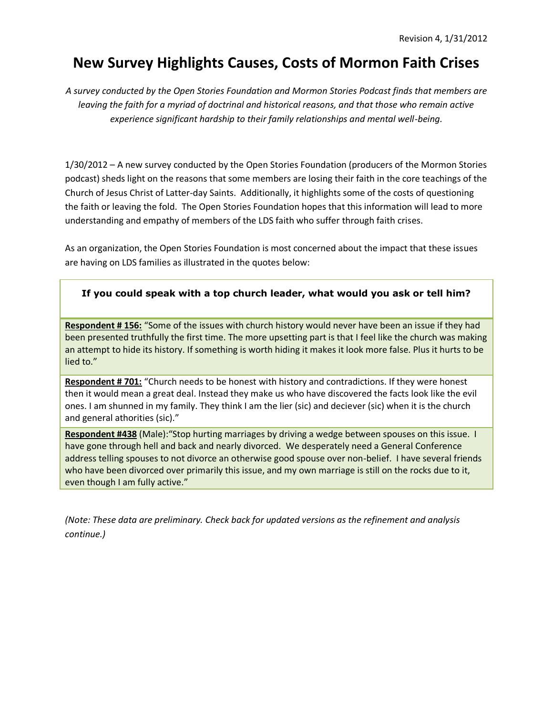# **New Survey Highlights Causes, Costs of Mormon Faith Crises**

*A survey conducted by the Open Stories Foundation and Mormon Stories Podcast finds that members are leaving the faith for a myriad of doctrinal and historical reasons, and that those who remain active experience significant hardship to their family relationships and mental well-being.*

1/30/2012 – A new survey conducted by the Open Stories Foundation (producers of the Mormon Stories podcast) sheds light on the reasons that some members are losing their faith in the core teachings of the Church of Jesus Christ of Latter-day Saints. Additionally, it highlights some of the costs of questioning the faith or leaving the fold. The Open Stories Foundation hopes that this information will lead to more understanding and empathy of members of the LDS faith who suffer through faith crises.

As an organization, the Open Stories Foundation is most concerned about the impact that these issues are having on LDS families as illustrated in the quotes below:

# **If you could speak with a top church leader, what would you ask or tell him?**

**Respondent # 156:** "Some of the issues with church history would never have been an issue if they had been presented truthfully the first time. The more upsetting part is that I feel like the church was making an attempt to hide its history. If something is worth hiding it makes it look more false. Plus it hurts to be lied to."

**Respondent # 701:** "Church needs to be honest with history and contradictions. If they were honest then it would mean a great deal. Instead they make us who have discovered the facts look like the evil ones. I am shunned in my family. They think I am the lier (sic) and deciever (sic) when it is the church and general athorities (sic)."

**Respondent #438** (Male):"Stop hurting marriages by driving a wedge between spouses on this issue. I have gone through hell and back and nearly divorced. We desperately need a General Conference address telling spouses to not divorce an otherwise good spouse over non-belief. I have several friends who have been divorced over primarily this issue, and my own marriage is still on the rocks due to it, even though I am fully active."

*(Note: These data are preliminary. Check back for updated versions as the refinement and analysis continue.)*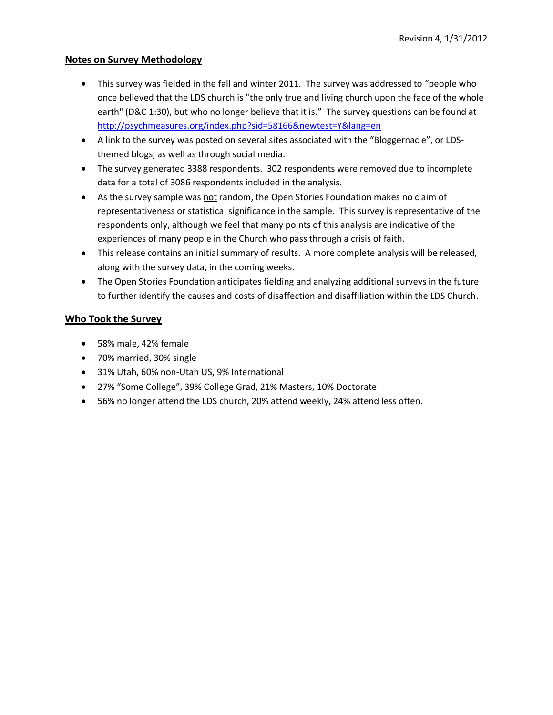#### **Notes on Survey Methodology**

- This survey was fielded in the fall and winter 2011. The survey was addressed to "people who once believed that the LDS church is "the only true and living church upon the face of the whole earth" (D&C 1:30), but who no longer believe that it is." The survey questions can be found at <http://psychmeasures.org/index.php?sid=58166&newtest=Y&lang=en>
- A link to the survey was posted on several sites associated with the "Bloggernacle", or LDSthemed blogs, as well as through social media.
- The survey generated 3388 respondents. 302 respondents were removed due to incomplete data for a total of 3086 respondents included in the analysis.
- As the survey sample was not random, the Open Stories Foundation makes no claim of representativeness or statistical significance in the sample. This survey is representative of the respondents only, although we feel that many points of this analysis are indicative of the experiences of many people in the Church who pass through a crisis of faith.
- This release contains an initial summary of results. A more complete analysis will be released, along with the survey data, in the coming weeks.
- The Open Stories Foundation anticipates fielding and analyzing additional surveys in the future to further identify the causes and costs of disaffection and disaffiliation within the LDS Church.

#### **Who Took the Survey**

- 58% male, 42% female
- 70% married, 30% single
- 31% Utah, 60% non-Utah US, 9% International
- 27% "Some College", 39% College Grad, 21% Masters, 10% Doctorate
- 56% no longer attend the LDS church, 20% attend weekly, 24% attend less often.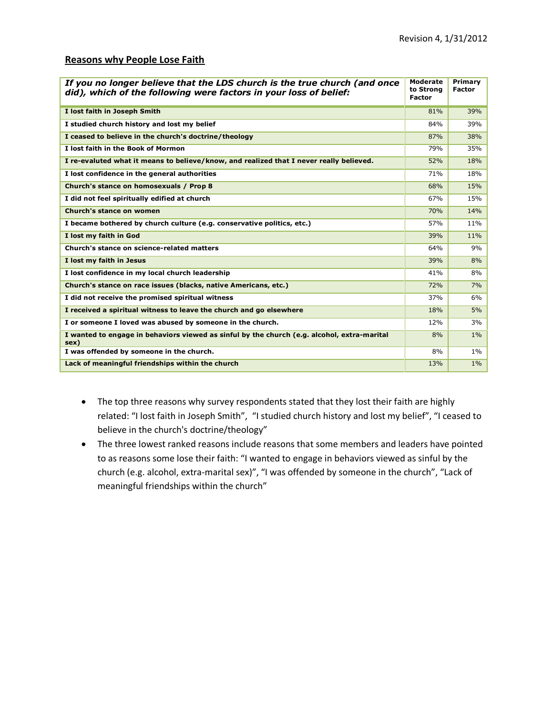#### **Reasons why People Lose Faith**

| If you no longer believe that the LDS church is the true church (and once<br>did), which of the following were factors in your loss of belief: | <b>Moderate</b><br>to Strong<br><b>Factor</b> | Primary<br><b>Factor</b> |
|------------------------------------------------------------------------------------------------------------------------------------------------|-----------------------------------------------|--------------------------|
| I lost faith in Joseph Smith                                                                                                                   | 81%                                           | 39%                      |
| I studied church history and lost my belief                                                                                                    | 84%                                           | 39%                      |
| I ceased to believe in the church's doctrine/theology                                                                                          | 87%                                           | 38%                      |
| I lost faith in the Book of Mormon                                                                                                             | 79%                                           | 35%                      |
| I re-evaluted what it means to believe/know, and realized that I never really believed.                                                        | 52%                                           | 18%                      |
| I lost confidence in the general authorities                                                                                                   | 71%                                           | 18%                      |
| Church's stance on homosexuals / Prop 8                                                                                                        | 68%                                           | 15%                      |
| I did not feel spiritually edified at church                                                                                                   | 67%                                           | 15%                      |
| Church's stance on women                                                                                                                       | <b>70%</b>                                    | 14%                      |
| I became bothered by church culture (e.g. conservative politics, etc.)                                                                         | 57%                                           | 11%                      |
| I lost my faith in God                                                                                                                         | 39%                                           | 11%                      |
| Church's stance on science-related matters                                                                                                     | 64%                                           | 9%                       |
| I lost my faith in Jesus                                                                                                                       | 39%                                           | 8%                       |
| I lost confidence in my local church leadership                                                                                                | 41%                                           | 8%                       |
| Church's stance on race issues (blacks, native Americans, etc.)                                                                                | <b>72%</b>                                    | 7%                       |
| I did not receive the promised spiritual witness                                                                                               | 37%                                           | 6%                       |
| I received a spiritual witness to leave the church and go elsewhere                                                                            | 18%                                           | 5%                       |
| I or someone I loved was abused by someone in the church.                                                                                      | 12%                                           | 3%                       |
| I wanted to engage in behaviors viewed as sinful by the church (e.g. alcohol, extra-marital<br>sex)                                            | 8%                                            | $1\%$                    |
| I was offended by someone in the church.                                                                                                       | 8%                                            | $1\%$                    |
| Lack of meaningful friendships within the church                                                                                               | 13%                                           | $1\%$                    |

- The top three reasons why survey respondents stated that they lost their faith are highly related: "I lost faith in Joseph Smith", "I studied church history and lost my belief", "I ceased to believe in the church's doctrine/theology"
- The three lowest ranked reasons include reasons that some members and leaders have pointed to as reasons some lose their faith: "I wanted to engage in behaviors viewed as sinful by the church (e.g. alcohol, extra-marital sex)", "I was offended by someone in the church", "Lack of meaningful friendships within the church"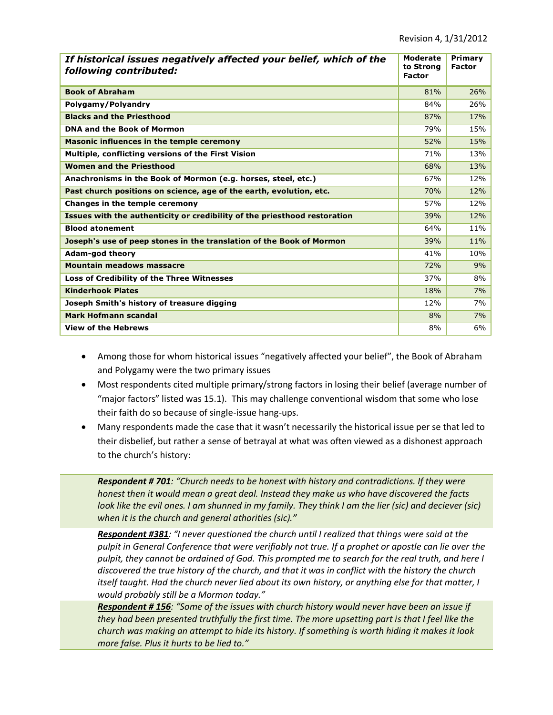| If historical issues negatively affected your belief, which of the<br>following contributed: | <b>Moderate</b><br>to Strong<br><b>Factor</b> | Primary<br><b>Factor</b> |
|----------------------------------------------------------------------------------------------|-----------------------------------------------|--------------------------|
| <b>Book of Abraham</b>                                                                       | 81%                                           | 26%                      |
| Polygamy/Polyandry                                                                           | 84%                                           | 26%                      |
| <b>Blacks and the Priesthood</b>                                                             | 87%                                           | 17%                      |
| <b>DNA and the Book of Mormon</b>                                                            | 79%                                           | 15%                      |
| Masonic influences in the temple ceremony                                                    | 52%                                           | 15%                      |
| Multiple, conflicting versions of the First Vision                                           | 71%                                           | 13%                      |
| <b>Women and the Priesthood</b>                                                              | 68%                                           | 13%                      |
| Anachronisms in the Book of Mormon (e.g. horses, steel, etc.)                                | 67%                                           | 12%                      |
| Past church positions on science, age of the earth, evolution, etc.                          | 70%                                           | 12%                      |
| Changes in the temple ceremony                                                               | 57%                                           | 12%                      |
| Issues with the authenticity or credibility of the priesthood restoration                    | 39%                                           | 12%                      |
| <b>Blood atonement</b>                                                                       | 64%                                           | 11%                      |
| Joseph's use of peep stones in the translation of the Book of Mormon                         | 39%                                           | 11%                      |
| <b>Adam-god theory</b>                                                                       | 41%                                           | 10%                      |
| <b>Mountain meadows massacre</b>                                                             | 72%                                           | 9%                       |
| Loss of Credibility of the Three Witnesses                                                   | 37%                                           | 8%                       |
| <b>Kinderhook Plates</b>                                                                     | 18%                                           | 7%                       |
| Joseph Smith's history of treasure digging                                                   | 12%                                           | 7%                       |
| Mark Hofmann scandal                                                                         | 8%                                            | 7%                       |
| <b>View of the Hebrews</b>                                                                   | 8%                                            | 6%                       |

- Among those for whom historical issues "negatively affected your belief", the Book of Abraham and Polygamy were the two primary issues
- Most respondents cited multiple primary/strong factors in losing their belief (average number of "major factors" listed was 15.1). This may challenge conventional wisdom that some who lose their faith do so because of single-issue hang-ups.
- Many respondents made the case that it wasn't necessarily the historical issue per se that led to their disbelief, but rather a sense of betrayal at what was often viewed as a dishonest approach to the church's history:

*Respondent # 701: "Church needs to be honest with history and contradictions. If they were honest then it would mean a great deal. Instead they make us who have discovered the facts look like the evil ones. I am shunned in my family. They think I am the lier (sic) and deciever (sic) when it is the church and general athorities (sic)."*

*Respondent #381: "I never questioned the church until I realized that things were said at the pulpit in General Conference that were verifiably not true. If a prophet or apostle can lie over the pulpit, they cannot be ordained of God. This prompted me to search for the real truth, and here I discovered the true history of the church, and that it was in conflict with the history the church itself taught. Had the church never lied about its own history, or anything else for that matter, I would probably still be a Mormon today."*

*Respondent # 156: "Some of the issues with church history would never have been an issue if they had been presented truthfully the first time. The more upsetting part is that I feel like the church was making an attempt to hide its history. If something is worth hiding it makes it look more false. Plus it hurts to be lied to."*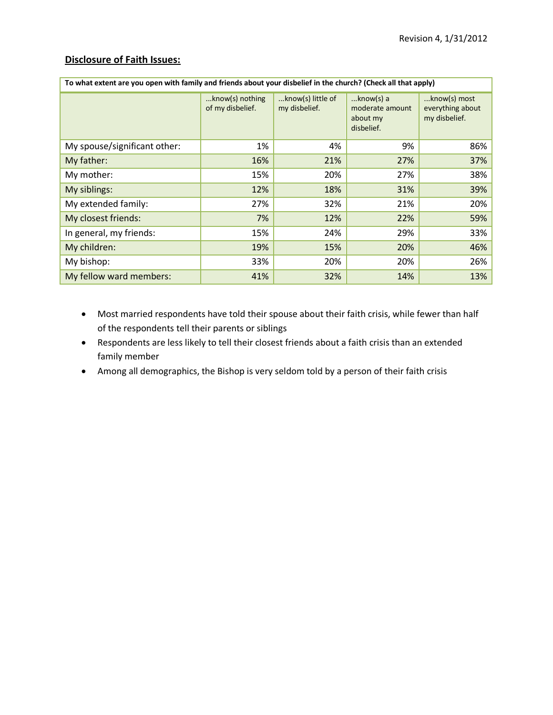## **Disclosure of Faith Issues:**

| To what extent are you open with family and friends about your disbelief in the church? (Check all that apply) |                                        |                                    |                                                           |                                                   |  |  |  |
|----------------------------------------------------------------------------------------------------------------|----------------------------------------|------------------------------------|-----------------------------------------------------------|---------------------------------------------------|--|--|--|
|                                                                                                                | $$ know(s) nothing<br>of my disbelief. | know(s) little of<br>my disbelief. | $$ know(s) a<br>moderate amount<br>about my<br>disbelief. | know(s) most<br>everything about<br>my disbelief. |  |  |  |
| My spouse/significant other:                                                                                   | 1%                                     | 4%                                 | 9%                                                        | 86%                                               |  |  |  |
| My father:                                                                                                     | 16%                                    | 21%                                | 27%                                                       | 37%                                               |  |  |  |
| My mother:                                                                                                     | 15%                                    | 20%                                | 27%                                                       | 38%                                               |  |  |  |
| My siblings:                                                                                                   | 12%                                    | 18%                                | 31%                                                       | 39%                                               |  |  |  |
| My extended family:                                                                                            | 27%                                    | 32%                                | 21%                                                       | 20%                                               |  |  |  |
| My closest friends:                                                                                            | 7%                                     | 12%                                | 22%                                                       | 59%                                               |  |  |  |
| In general, my friends:                                                                                        | 15%                                    | 24%                                | 29%                                                       | 33%                                               |  |  |  |
| My children:                                                                                                   | 19%                                    | 15%                                | 20%                                                       | 46%                                               |  |  |  |
| My bishop:                                                                                                     | 33%                                    | 20%                                | 20%                                                       | 26%                                               |  |  |  |
| My fellow ward members:                                                                                        | 41%                                    | 32%                                | 14%                                                       | 13%                                               |  |  |  |

- Most married respondents have told their spouse about their faith crisis, while fewer than half of the respondents tell their parents or siblings
- Respondents are less likely to tell their closest friends about a faith crisis than an extended family member
- Among all demographics, the Bishop is very seldom told by a person of their faith crisis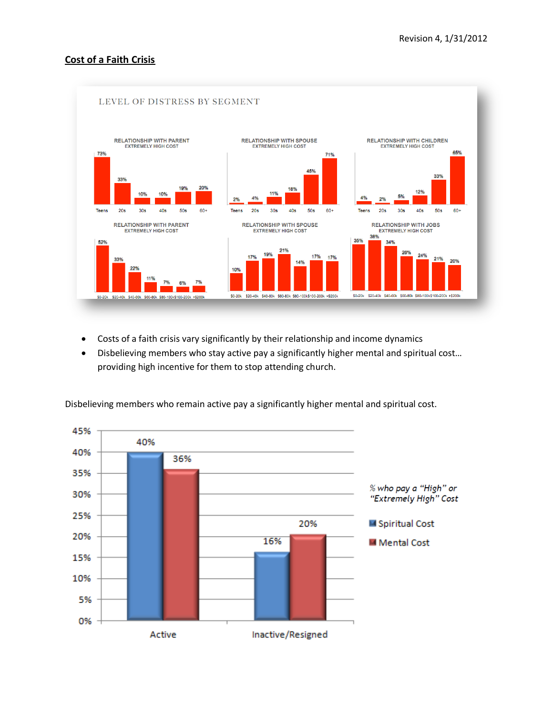### **Cost of a Faith Crisis**



- Costs of a faith crisis vary significantly by their relationship and income dynamics
- Disbelieving members who stay active pay a significantly higher mental and spiritual cost… providing high incentive for them to stop attending church.



Disbelieving members who remain active pay a significantly higher mental and spiritual cost.